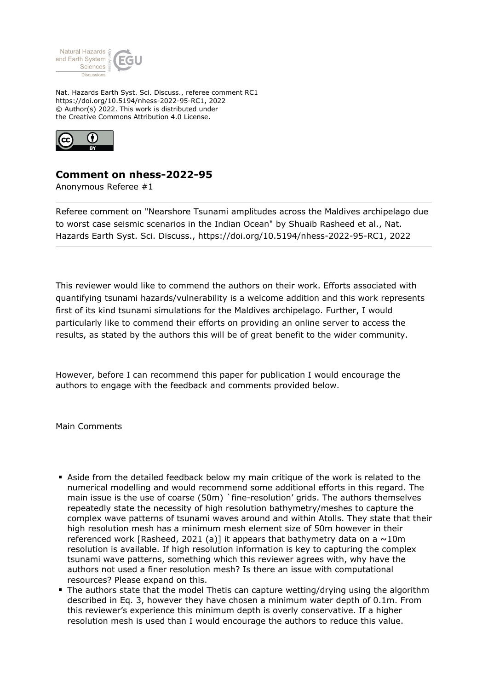

Nat. Hazards Earth Syst. Sci. Discuss., referee comment RC1 https://doi.org/10.5194/nhess-2022-95-RC1, 2022 © Author(s) 2022. This work is distributed under the Creative Commons Attribution 4.0 License.



## **Comment on nhess-2022-95**

Anonymous Referee #1

Referee comment on "Nearshore Tsunami amplitudes across the Maldives archipelago due to worst case seismic scenarios in the Indian Ocean" by Shuaib Rasheed et al., Nat. Hazards Earth Syst. Sci. Discuss., https://doi.org/10.5194/nhess-2022-95-RC1, 2022

This reviewer would like to commend the authors on their work. Efforts associated with quantifying tsunami hazards/vulnerability is a welcome addition and this work represents first of its kind tsunami simulations for the Maldives archipelago. Further, I would particularly like to commend their efforts on providing an online server to access the results, as stated by the authors this will be of great benefit to the wider community.

However, before I can recommend this paper for publication I would encourage the authors to engage with the feedback and comments provided below.

Main Comments

- Aside from the detailed feedback below my main critique of the work is related to the numerical modelling and would recommend some additional efforts in this regard. The main issue is the use of coarse (50m) `fine-resolution' grids. The authors themselves repeatedly state the necessity of high resolution bathymetry/meshes to capture the complex wave patterns of tsunami waves around and within Atolls. They state that their high resolution mesh has a minimum mesh element size of 50m however in their referenced work [Rasheed, 2021 (a)] it appears that bathymetry data on a  $\sim$ 10m resolution is available. If high resolution information is key to capturing the complex tsunami wave patterns, something which this reviewer agrees with, why have the authors not used a finer resolution mesh? Is there an issue with computational resources? Please expand on this.
- The authors state that the model Thetis can capture wetting/drying using the algorithm described in Eq. 3, however they have chosen a minimum water depth of 0.1m. From this reviewer's experience this minimum depth is overly conservative. If a higher resolution mesh is used than I would encourage the authors to reduce this value.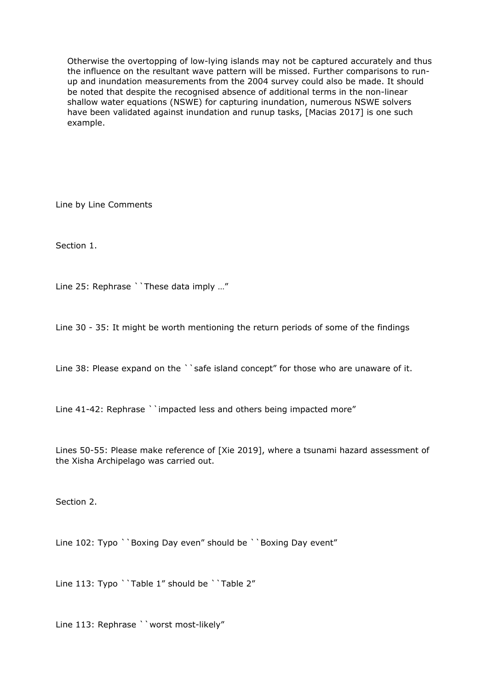Otherwise the overtopping of low-lying islands may not be captured accurately and thus the influence on the resultant wave pattern will be missed. Further comparisons to runup and inundation measurements from the 2004 survey could also be made. It should be noted that despite the recognised absence of additional terms in the non-linear shallow water equations (NSWE) for capturing inundation, numerous NSWE solvers have been validated against inundation and runup tasks, [Macias 2017] is one such example.

Line by Line Comments

Section 1.

Line 25: Rephrase ``These data imply ..."

Line 30 - 35: It might be worth mentioning the return periods of some of the findings

Line 38: Please expand on the ``safe island concept" for those who are unaware of it.

Line 41-42: Rephrase ``impacted less and others being impacted more"

Lines 50-55: Please make reference of [Xie 2019], where a tsunami hazard assessment of the Xisha Archipelago was carried out.

Section 2.

Line 102: Typo ``Boxing Day even" should be ``Boxing Day event"

Line 113: Typo ``Table 1" should be ``Table 2"

Line 113: Rephrase ``worst most-likely"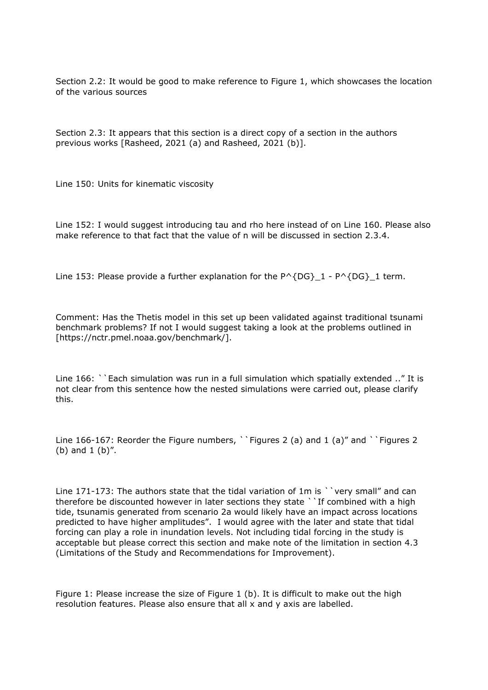Section 2.2: It would be good to make reference to Figure 1, which showcases the location of the various sources

Section 2.3: It appears that this section is a direct copy of a section in the authors previous works [Rasheed, 2021 (a) and Rasheed, 2021 (b)].

Line 150: Units for kinematic viscosity

Line 152: I would suggest introducing tau and rho here instead of on Line 160. Please also make reference to that fact that the value of n will be discussed in section 2.3.4.

Line 153: Please provide a further explanation for the  $P^{\wedge}$ {DG}\_1 - P $^{\wedge}$ {DG}\_1 term.

Comment: Has the Thetis model in this set up been validated against traditional tsunami benchmark problems? If not I would suggest taking a look at the problems outlined in [https://nctr.pmel.noaa.gov/benchmark/].

Line 166: ``Each simulation was run in a full simulation which spatially extended .." It is not clear from this sentence how the nested simulations were carried out, please clarify this.

Line 166-167: Reorder the Figure numbers, ``Figures 2 (a) and 1 (a)" and ``Figures 2 (b) and 1 (b)".

Line 171-173: The authors state that the tidal variation of 1m is ``very small" and can therefore be discounted however in later sections they state ``If combined with a high tide, tsunamis generated from scenario 2a would likely have an impact across locations predicted to have higher amplitudes". I would agree with the later and state that tidal forcing can play a role in inundation levels. Not including tidal forcing in the study is acceptable but please correct this section and make note of the limitation in section 4.3 (Limitations of the Study and Recommendations for Improvement).

Figure 1: Please increase the size of Figure 1 (b). It is difficult to make out the high resolution features. Please also ensure that all x and y axis are labelled.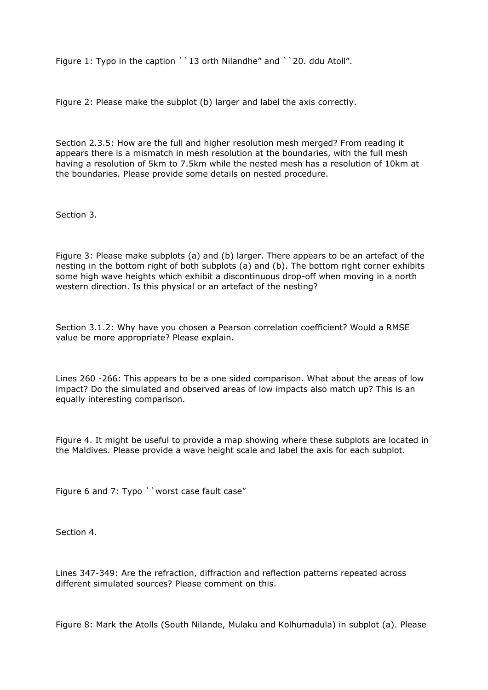Figure 1: Typo in the caption ``13 orth Nilandhe" and ``20. ddu Atoll".

Figure 2: Please make the subplot (b) larger and label the axis correctly.

Section 2.3.5: How are the full and higher resolution mesh merged? From reading it appears there is a mismatch in mesh resolution at the boundaries, with the full mesh having a resolution of 5km to 7.5km while the nested mesh has a resolution of 10km at the boundaries. Please provide some details on nested procedure.

Section 3.

Figure 3: Please make subplots (a) and (b) larger. There appears to be an artefact of the nesting in the bottom right of both subplots (a) and (b). The bottom right corner exhibits some high wave heights which exhibit a discontinuous drop-off when moving in a north western direction. Is this physical or an artefact of the nesting?

Section 3.1.2: Why have you chosen a Pearson correlation coefficient? Would a RMSE value be more appropriate? Please explain.

Lines 260 -266: This appears to be a one sided comparison. What about the areas of low impact? Do the simulated and observed areas of low impacts also match up? This is an equally interesting comparison.

Figure 4. It might be useful to provide a map showing where these subplots are located in the Maldives. Please provide a wave height scale and label the axis for each subplot.

Figure 6 and 7: Typo ``worst case fault case"

Section 4.

Lines 347-349: Are the refraction, diffraction and reflection patterns repeated across different simulated sources? Please comment on this.

Figure 8: Mark the Atolls (South Nilande, Mulaku and Kolhumadula) in subplot (a). Please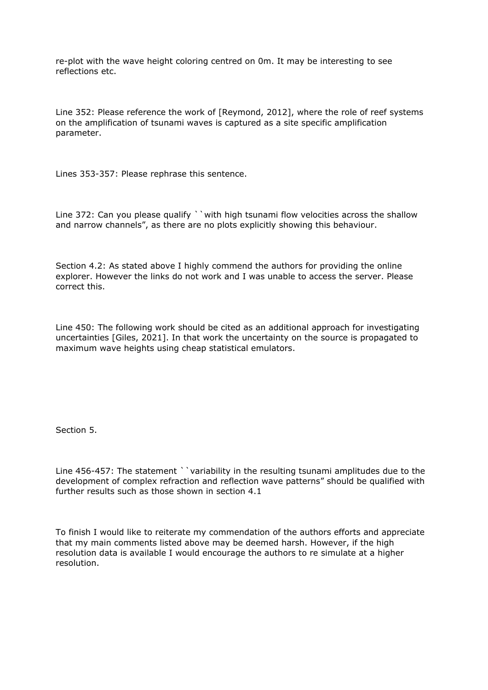re-plot with the wave height coloring centred on 0m. It may be interesting to see reflections etc.

Line 352: Please reference the work of [Reymond, 2012], where the role of reef systems on the amplification of tsunami waves is captured as a site specific amplification parameter.

Lines 353-357: Please rephrase this sentence.

Line 372: Can you please qualify ``with high tsunami flow velocities across the shallow and narrow channels", as there are no plots explicitly showing this behaviour.

Section 4.2: As stated above I highly commend the authors for providing the online explorer. However the links do not work and I was unable to access the server. Please correct this.

Line 450: The following work should be cited as an additional approach for investigating uncertainties [Giles, 2021]. In that work the uncertainty on the source is propagated to maximum wave heights using cheap statistical emulators.

Section 5.

Line 456-457: The statement ``variability in the resulting tsunami amplitudes due to the development of complex refraction and reflection wave patterns" should be qualified with further results such as those shown in section 4.1

To finish I would like to reiterate my commendation of the authors efforts and appreciate that my main comments listed above may be deemed harsh. However, if the high resolution data is available I would encourage the authors to re simulate at a higher resolution.